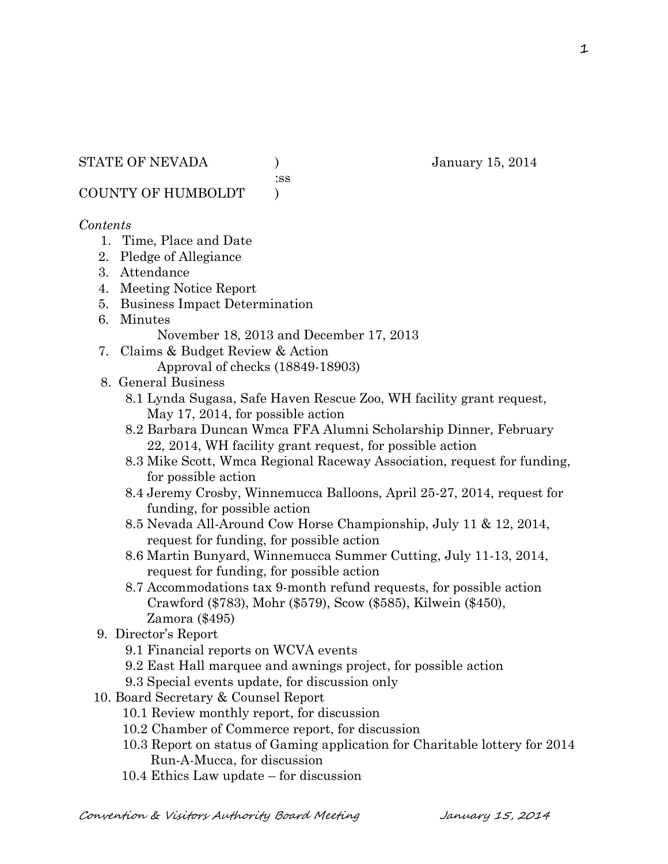:ss

COUNTY OF HUMBOLDT )

### *Contents*

- 1. Time, Place and Date
- 2. Pledge of Allegiance
- 3. Attendance
- 4. Meeting Notice Report
- 5. Business Impact Determination
- 6. Minutes November 18, 2013 and December 17, 2013
- 7. Claims & Budget Review & Action Approval of checks (18849-18903)
- 8. General Business
	- 8.1 Lynda Sugasa, Safe Haven Rescue Zoo, WH facility grant request, May 17, 2014, for possible action
	- 8.2 Barbara Duncan Wmca FFA Alumni Scholarship Dinner, February 22, 2014, WH facility grant request, for possible action
	- 8.3 Mike Scott, Wmca Regional Raceway Association, request for funding, for possible action
	- 8.4 Jeremy Crosby, Winnemucca Balloons, April 25-27, 2014, request for funding, for possible action
	- 8.5 Nevada All-Around Cow Horse Championship, July 11 & 12, 2014, request for funding, for possible action
	- 8.6 Martin Bunyard, Winnemucca Summer Cutting, July 11-13, 2014, request for funding, for possible action
	- 8.7 Accommodations tax 9-month refund requests, for possible action Crawford (\$783), Mohr (\$579), Scow (\$585), Kilwein (\$450), Zamora (\$495)
- 9. Director's Report
	- 9.1 Financial reports on WCVA events
	- 9.2 East Hall marquee and awnings project, for possible action
	- 9.3 Special events update, for discussion only
- 10. Board Secretary & Counsel Report
	- 10.1 Review monthly report, for discussion
	- 10.2 Chamber of Commerce report, for discussion
	- 10.3 Report on status of Gaming application for Charitable lottery for 2014 Run-A-Mucca, for discussion
	- 10.4 Ethics Law update for discussion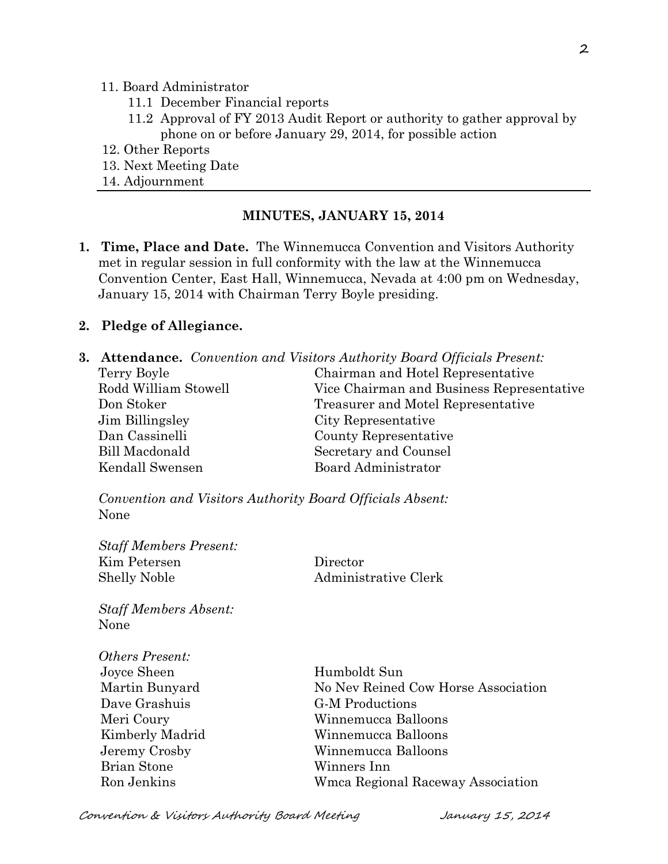#### 11. Board Administrator

- 11.1 December Financial reports
- 11.2 Approval of FY 2013 Audit Report or authority to gather approval by phone on or before January 29, 2014, for possible action
- 12. Other Reports
- 13. Next Meeting Date
- 14. Adjournment

#### **MINUTES, JANUARY 15, 2014**

**1. Time, Place and Date.** The Winnemucca Convention and Visitors Authority met in regular session in full conformity with the law at the Winnemucca Convention Center, East Hall, Winnemucca, Nevada at 4:00 pm on Wednesday, January 15, 2014 with Chairman Terry Boyle presiding.

#### **2. Pledge of Allegiance.**

|                      | <b>3. Attendance.</b> Convention and Visitors Authority Board Officials Present: |
|----------------------|----------------------------------------------------------------------------------|
| Terry Boyle          | Chairman and Hotel Representative                                                |
| Rodd William Stowell | Vice Chairman and Business Representative                                        |
| Don Stoker           | Treasurer and Motel Representative                                               |
| Jim Billingsley      | City Representative                                                              |
| Dan Cassinelli       | County Representative                                                            |
| Bill Macdonald       | Secretary and Counsel                                                            |
| Kendall Swensen      | Board Administrator                                                              |

*Convention and Visitors Authority Board Officials Absent:* None

| <b>Staff Members Present:</b><br>Kim Petersen | Director                            |
|-----------------------------------------------|-------------------------------------|
| <b>Shelly Noble</b>                           | Administrative Clerk                |
| <b>Staff Members Absent:</b>                  |                                     |
| None                                          |                                     |
| <i>Others Present:</i>                        |                                     |
| Joyce Sheen                                   | Humboldt Sun                        |
| Martin Bunyard                                | No Nev Reined Cow Horse Association |
| Dave Grashuis                                 | <b>G-M</b> Productions              |
| Meri Coury                                    | Winnemucca Balloons                 |
| Kimberly Madrid                               | Winnemucca Balloons                 |
| Jeremy Crosby                                 | Winnemucca Balloons                 |
| <b>Brian Stone</b>                            | Winners Inn                         |
| Ron Jenkins                                   | Wmca Regional Raceway Association   |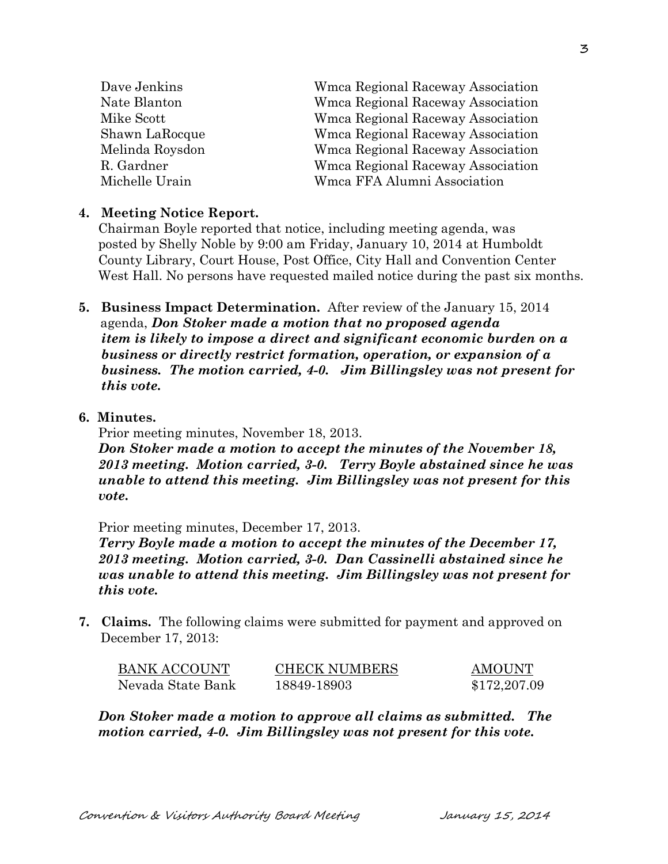| Dave Jenkins    | Wmca Regional Raceway Association |
|-----------------|-----------------------------------|
| Nate Blanton    | Wmca Regional Raceway Association |
| Mike Scott      | Wmca Regional Raceway Association |
| Shawn LaRocque  | Wmca Regional Raceway Association |
| Melinda Roysdon | Wmca Regional Raceway Association |
| R. Gardner      | Wmca Regional Raceway Association |
| Michelle Urain  | Wmca FFA Alumni Association       |
|                 |                                   |

#### **4. Meeting Notice Report.**

Chairman Boyle reported that notice, including meeting agenda, was posted by Shelly Noble by 9:00 am Friday, January 10, 2014 at Humboldt County Library, Court House, Post Office, City Hall and Convention Center West Hall. No persons have requested mailed notice during the past six months.

- **5. Business Impact Determination.** After review of the January 15, 2014 agenda, *Don Stoker made a motion that no proposed agenda item is likely to impose a direct and significant economic burden on a business or directly restrict formation, operation, or expansion of a business. The motion carried, 4-0. Jim Billingsley was not present for this vote.*
- **6. Minutes.**

Prior meeting minutes, November 18, 2013.

*Don Stoker made a motion to accept the minutes of the November 18, 2013 meeting. Motion carried, 3-0. Terry Boyle abstained since he was unable to attend this meeting. Jim Billingsley was not present for this vote.*

Prior meeting minutes, December 17, 2013.

*Terry Boyle made a motion to accept the minutes of the December 17, 2013 meeting. Motion carried, 3-0. Dan Cassinelli abstained since he was unable to attend this meeting. Jim Billingsley was not present for this vote.*

**7. Claims.** The following claims were submitted for payment and approved on December 17, 2013:

| BANK ACCOUNT      | <b>CHECK NUMBERS</b> | <b>AMOUNT</b> |
|-------------------|----------------------|---------------|
| Nevada State Bank | 18849-18903          | \$172,207.09  |

*Don Stoker made a motion to approve all claims as submitted. The motion carried, 4-0. Jim Billingsley was not present for this vote.*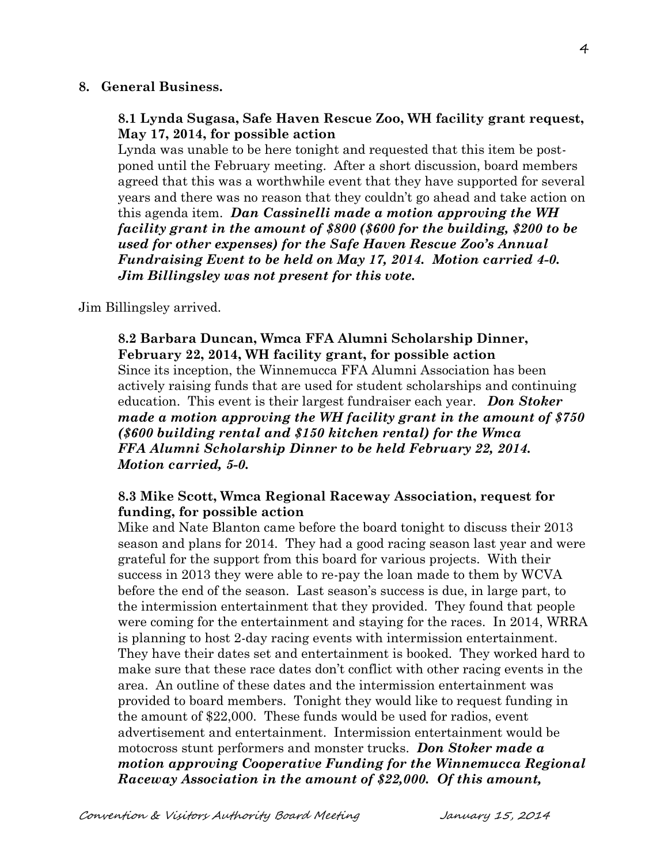#### **8. General Business.**

#### **8.1 Lynda Sugasa, Safe Haven Rescue Zoo, WH facility grant request, May 17, 2014, for possible action**

Lynda was unable to be here tonight and requested that this item be postponed until the February meeting. After a short discussion, board members agreed that this was a worthwhile event that they have supported for several years and there was no reason that they couldn't go ahead and take action on this agenda item. *Dan Cassinelli made a motion approving the WH facility grant in the amount of \$800 (\$600 for the building, \$200 to be used for other expenses) for the Safe Haven Rescue Zoo's Annual Fundraising Event to be held on May 17, 2014. Motion carried 4-0. Jim Billingsley was not present for this vote.*

Jim Billingsley arrived.

### **8.2 Barbara Duncan, Wmca FFA Alumni Scholarship Dinner, February 22, 2014, WH facility grant, for possible action** Since its inception, the Winnemucca FFA Alumni Association has been actively raising funds that are used for student scholarships and continuing education. This event is their largest fundraiser each year. *Don Stoker made a motion approving the WH facility grant in the amount of \$750 (\$600 building rental and \$150 kitchen rental) for the Wmca FFA Alumni Scholarship Dinner to be held February 22, 2014. Motion carried, 5-0.*

#### **8.3 Mike Scott, Wmca Regional Raceway Association, request for funding, for possible action**

Mike and Nate Blanton came before the board tonight to discuss their 2013 season and plans for 2014. They had a good racing season last year and were grateful for the support from this board for various projects. With their success in 2013 they were able to re-pay the loan made to them by WCVA before the end of the season. Last season's success is due, in large part, to the intermission entertainment that they provided. They found that people were coming for the entertainment and staying for the races. In 2014, WRRA is planning to host 2-day racing events with intermission entertainment. They have their dates set and entertainment is booked. They worked hard to make sure that these race dates don't conflict with other racing events in the area. An outline of these dates and the intermission entertainment was provided to board members. Tonight they would like to request funding in the amount of \$22,000. These funds would be used for radios, event advertisement and entertainment. Intermission entertainment would be motocross stunt performers and monster trucks. *Don Stoker made a motion approving Cooperative Funding for the Winnemucca Regional Raceway Association in the amount of \$22,000. Of this amount,*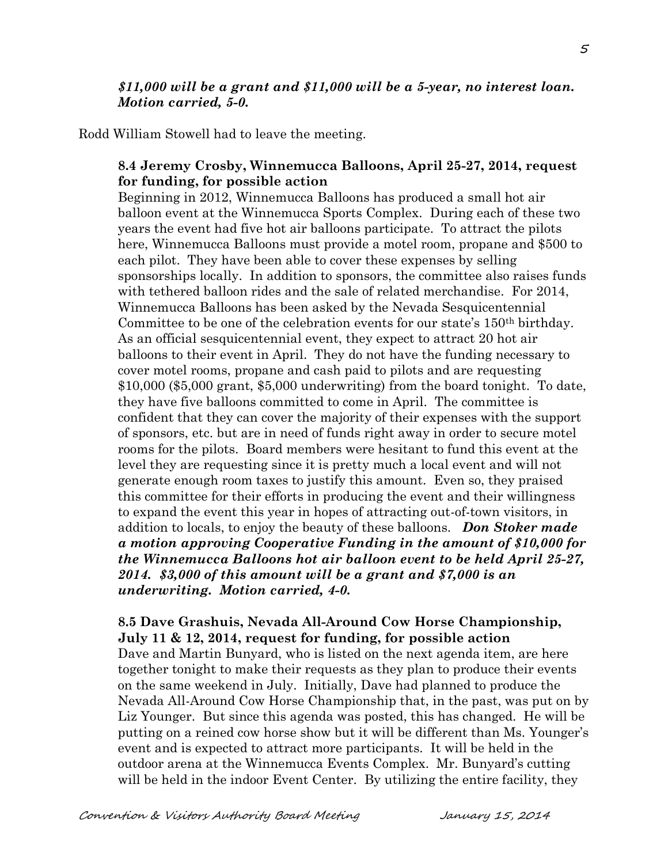### *\$11,000 will be a grant and \$11,000 will be a 5-year, no interest loan. Motion carried, 5-0.*

Rodd William Stowell had to leave the meeting.

# **8.4 Jeremy Crosby, Winnemucca Balloons, April 25-27, 2014, request for funding, for possible action**

Beginning in 2012, Winnemucca Balloons has produced a small hot air balloon event at the Winnemucca Sports Complex. During each of these two years the event had five hot air balloons participate. To attract the pilots here, Winnemucca Balloons must provide a motel room, propane and \$500 to each pilot. They have been able to cover these expenses by selling sponsorships locally. In addition to sponsors, the committee also raises funds with tethered balloon rides and the sale of related merchandise. For 2014, Winnemucca Balloons has been asked by the Nevada Sesquicentennial Committee to be one of the celebration events for our state's 150th birthday. As an official sesquicentennial event, they expect to attract 20 hot air balloons to their event in April. They do not have the funding necessary to cover motel rooms, propane and cash paid to pilots and are requesting \$10,000 (\$5,000 grant, \$5,000 underwriting) from the board tonight. To date, they have five balloons committed to come in April. The committee is confident that they can cover the majority of their expenses with the support of sponsors, etc. but are in need of funds right away in order to secure motel rooms for the pilots. Board members were hesitant to fund this event at the level they are requesting since it is pretty much a local event and will not generate enough room taxes to justify this amount. Even so, they praised this committee for their efforts in producing the event and their willingness to expand the event this year in hopes of attracting out-of-town visitors, in addition to locals, to enjoy the beauty of these balloons. *Don Stoker made a motion approving Cooperative Funding in the amount of \$10,000 for the Winnemucca Balloons hot air balloon event to be held April 25-27, 2014. \$3,000 of this amount will be a grant and \$7,000 is an underwriting. Motion carried, 4-0.* 

### **8.5 Dave Grashuis, Nevada All-Around Cow Horse Championship, July 11 & 12, 2014, request for funding, for possible action**

Dave and Martin Bunyard, who is listed on the next agenda item, are here together tonight to make their requests as they plan to produce their events on the same weekend in July. Initially, Dave had planned to produce the Nevada All-Around Cow Horse Championship that, in the past, was put on by Liz Younger. But since this agenda was posted, this has changed. He will be putting on a reined cow horse show but it will be different than Ms. Younger's event and is expected to attract more participants. It will be held in the outdoor arena at the Winnemucca Events Complex. Mr. Bunyard's cutting will be held in the indoor Event Center. By utilizing the entire facility, they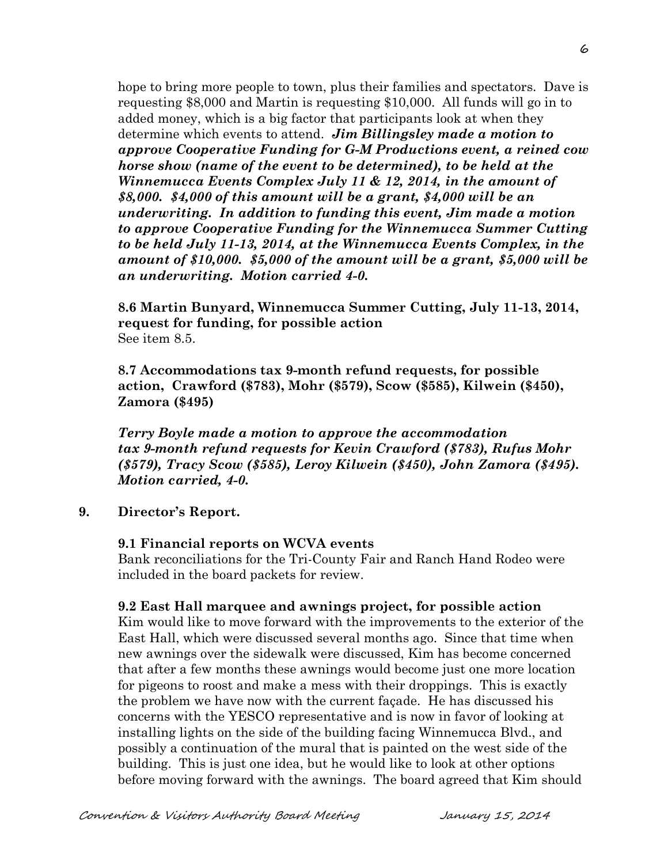hope to bring more people to town, plus their families and spectators. Dave is requesting \$8,000 and Martin is requesting \$10,000. All funds will go in to added money, which is a big factor that participants look at when they determine which events to attend. *Jim Billingsley made a motion to approve Cooperative Funding for G-M Productions event, a reined cow horse show (name of the event to be determined), to be held at the Winnemucca Events Complex July 11 & 12, 2014, in the amount of \$8,000. \$4,000 of this amount will be a grant, \$4,000 will be an underwriting. In addition to funding this event, Jim made a motion to approve Cooperative Funding for the Winnemucca Summer Cutting to be held July 11-13, 2014, at the Winnemucca Events Complex, in the amount of \$10,000. \$5,000 of the amount will be a grant, \$5,000 will be an underwriting. Motion carried 4-0.*

**8.6 Martin Bunyard, Winnemucca Summer Cutting, July 11-13, 2014, request for funding, for possible action** See item 8.5.

**8.7 Accommodations tax 9-month refund requests, for possible action, Crawford (\$783), Mohr (\$579), Scow (\$585), Kilwein (\$450), Zamora (\$495)**

*Terry Boyle made a motion to approve the accommodation tax 9-month refund requests for Kevin Crawford (\$783), Rufus Mohr (\$579), Tracy Scow (\$585), Leroy Kilwein (\$450), John Zamora (\$495). Motion carried, 4-0.*

### **9. Director's Report.**

#### **9.1 Financial reports on WCVA events**

Bank reconciliations for the Tri-County Fair and Ranch Hand Rodeo were included in the board packets for review.

### **9.2 East Hall marquee and awnings project, for possible action**

Kim would like to move forward with the improvements to the exterior of the East Hall, which were discussed several months ago. Since that time when new awnings over the sidewalk were discussed, Kim has become concerned that after a few months these awnings would become just one more location for pigeons to roost and make a mess with their droppings. This is exactly the problem we have now with the current façade. He has discussed his concerns with the YESCO representative and is now in favor of looking at installing lights on the side of the building facing Winnemucca Blvd., and possibly a continuation of the mural that is painted on the west side of the building. This is just one idea, but he would like to look at other options before moving forward with the awnings. The board agreed that Kim should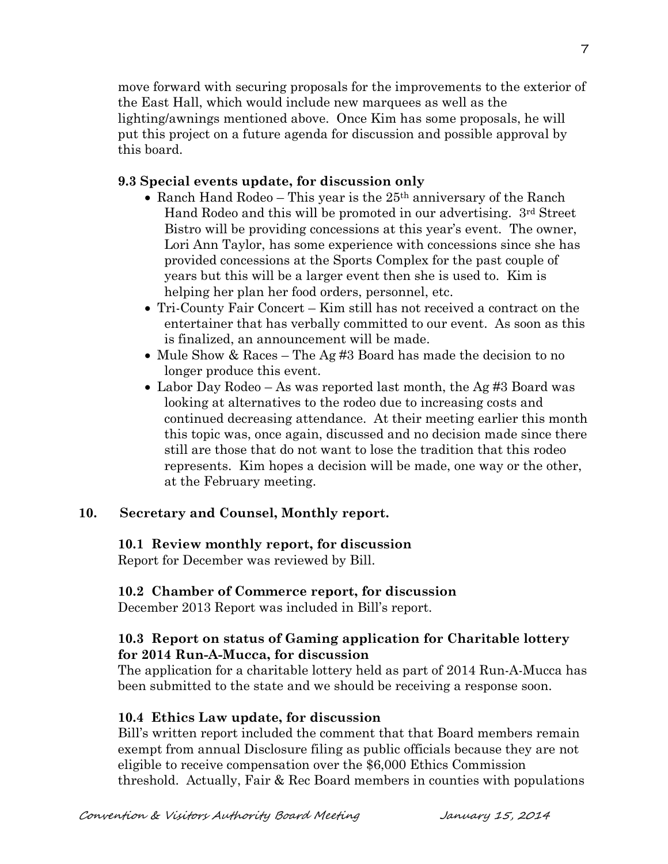move forward with securing proposals for the improvements to the exterior of the East Hall, which would include new marquees as well as the lighting/awnings mentioned above. Once Kim has some proposals, he will put this project on a future agenda for discussion and possible approval by this board.

#### **9.3 Special events update, for discussion only**

- Ranch Hand Rodeo This year is the  $25<sup>th</sup>$  anniversary of the Ranch Hand Rodeo and this will be promoted in our advertising. 3rd Street Bistro will be providing concessions at this year's event. The owner, Lori Ann Taylor, has some experience with concessions since she has provided concessions at the Sports Complex for the past couple of years but this will be a larger event then she is used to. Kim is helping her plan her food orders, personnel, etc.
- Tri-County Fair Concert Kim still has not received a contract on the entertainer that has verbally committed to our event. As soon as this is finalized, an announcement will be made.
- Mule Show & Races The Ag #3 Board has made the decision to no longer produce this event.
- Labor Day Rodeo As was reported last month, the Ag #3 Board was looking at alternatives to the rodeo due to increasing costs and continued decreasing attendance. At their meeting earlier this month this topic was, once again, discussed and no decision made since there still are those that do not want to lose the tradition that this rodeo represents. Kim hopes a decision will be made, one way or the other, at the February meeting.

### **10. Secretary and Counsel, Monthly report.**

### **10.1 Review monthly report, for discussion**

Report for December was reviewed by Bill.

### **10.2 Chamber of Commerce report, for discussion**

December 2013 Report was included in Bill's report.

# **10.3 Report on status of Gaming application for Charitable lottery for 2014 Run-A-Mucca, for discussion**

The application for a charitable lottery held as part of 2014 Run-A-Mucca has been submitted to the state and we should be receiving a response soon.

### **10.4 Ethics Law update, for discussion**

Bill's written report included the comment that that Board members remain exempt from annual Disclosure filing as public officials because they are not eligible to receive compensation over the \$6,000 Ethics Commission threshold. Actually, Fair & Rec Board members in counties with populations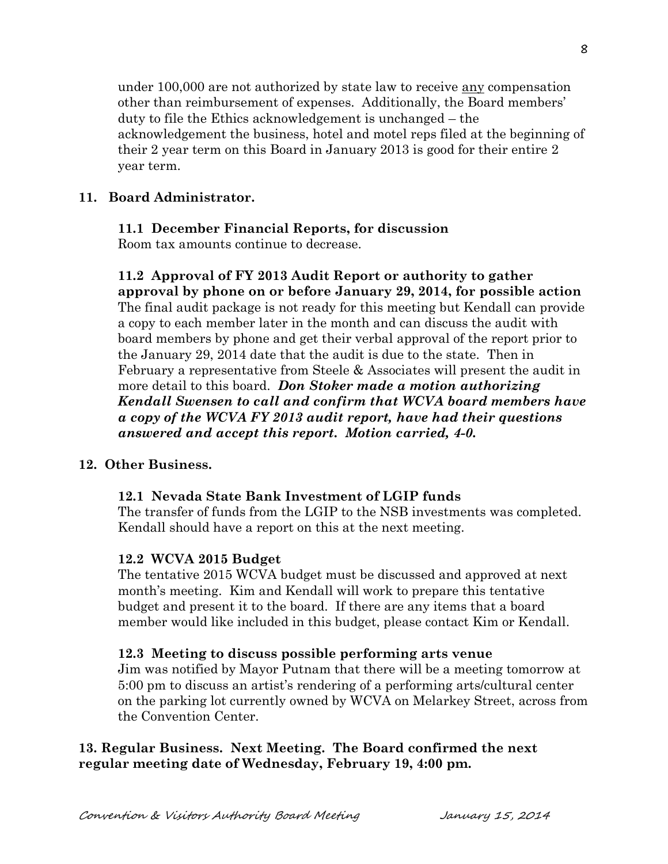under 100,000 are not authorized by state law to receive any compensation other than reimbursement of expenses. Additionally, the Board members' duty to file the Ethics acknowledgement is unchanged – the acknowledgement the business, hotel and motel reps filed at the beginning of their 2 year term on this Board in January 2013 is good for their entire 2 year term.

## **11. Board Administrator.**

### **11.1 December Financial Reports, for discussion**

Room tax amounts continue to decrease.

**11.2 Approval of FY 2013 Audit Report or authority to gather approval by phone on or before January 29, 2014, for possible action** The final audit package is not ready for this meeting but Kendall can provide a copy to each member later in the month and can discuss the audit with board members by phone and get their verbal approval of the report prior to the January 29, 2014 date that the audit is due to the state. Then in February a representative from Steele & Associates will present the audit in more detail to this board. *Don Stoker made a motion authorizing Kendall Swensen to call and confirm that WCVA board members have a copy of the WCVA FY 2013 audit report, have had their questions answered and accept this report. Motion carried, 4-0.*

### **12. Other Business.**

# **12.1 Nevada State Bank Investment of LGIP funds**

The transfer of funds from the LGIP to the NSB investments was completed. Kendall should have a report on this at the next meeting.

### **12.2 WCVA 2015 Budget**

The tentative 2015 WCVA budget must be discussed and approved at next month's meeting. Kim and Kendall will work to prepare this tentative budget and present it to the board. If there are any items that a board member would like included in this budget, please contact Kim or Kendall.

### **12.3 Meeting to discuss possible performing arts venue**

Jim was notified by Mayor Putnam that there will be a meeting tomorrow at 5:00 pm to discuss an artist's rendering of a performing arts/cultural center on the parking lot currently owned by WCVA on Melarkey Street, across from the Convention Center.

# **13. Regular Business. Next Meeting. The Board confirmed the next regular meeting date of Wednesday, February 19, 4:00 pm.**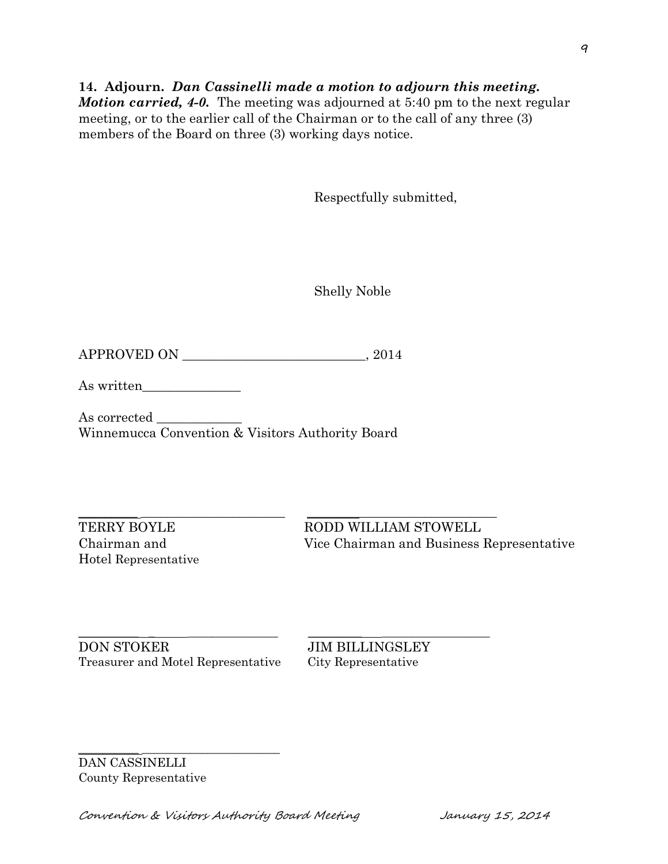# **14. Adjourn.** *Dan Cassinelli made a motion to adjourn this meeting.*

*Motion carried, 4-0.* The meeting was adjourned at 5:40 pm to the next regular meeting, or to the earlier call of the Chairman or to the call of any three (3) members of the Board on three (3) working days notice.

Respectfully submitted,

Shelly Noble

APPROVED ON \_\_\_\_\_\_\_\_\_\_\_\_\_\_\_\_\_\_\_\_\_\_\_\_\_\_\_\_, 2014

As written\_\_\_\_\_\_\_\_\_\_\_\_\_\_\_

As corrected \_\_\_\_\_\_\_\_\_\_\_\_\_ Winnemucca Convention & Visitors Authority Board

 $\_$  ,  $\_$  ,  $\_$  ,  $\_$  ,  $\_$  ,  $\_$  ,  $\_$  ,  $\_$  ,  $\_$  ,  $\_$  ,  $\_$  ,  $\_$  ,  $\_$  ,  $\_$  ,  $\_$  ,  $\_$  ,  $\_$  ,  $\_$  ,  $\_$  ,  $\_$  ,  $\_$  ,  $\_$  ,  $\_$  ,  $\_$  ,  $\_$  ,  $\_$  ,  $\_$  ,  $\_$  ,  $\_$  ,  $\_$  ,  $\_$  ,  $\_$  ,  $\_$  ,  $\_$  ,  $\_$  ,  $\_$  ,  $\_$  , Hotel Representative

TERRY BOYLE RODD WILLIAM STOWELL Chairman and Vice Chairman and Business Representative

DON STOKER JIM BILLINGSLEY Treasurer and Motel Representative City Representative

\_\_\_\_\_\_\_\_\_\_ \_\_\_\_\_\_\_\_\_\_\_\_\_\_\_\_\_\_\_\_\_\_\_

 $\mathcal{L}_\text{max}$  , and the contract of the contract of the contract of the contract of the contract of the contract of

DAN CASSINELLI County Representative